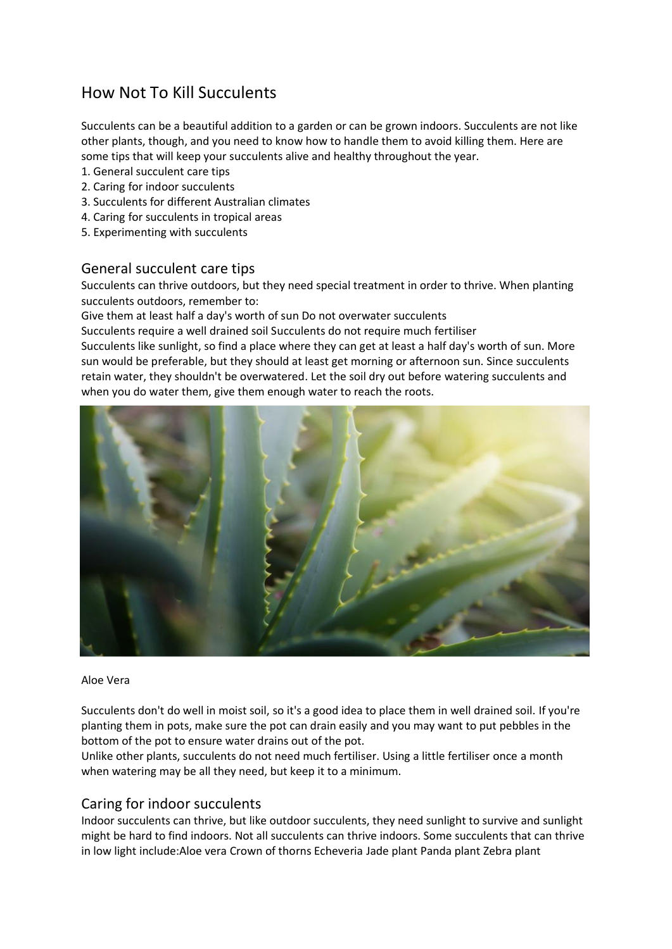# How Not To Kill Succulents

Succulents can be a beautiful addition to a garden or can be grown indoors. Succulents are not like other plants, though, and you need to know how to handle them to avoid killing them. Here are some tips that will keep your succulents alive and healthy throughout the year.

- 1. General succulent care tips
- 2. Caring for indoor succulents
- 3. Succulents for different Australian climates
- 4. Caring for succulents in tropical areas
- 5. Experimenting with succulents

## General succulent care tips

Succulents can thrive outdoors, but they need special treatment in order to thrive. When planting succulents outdoors, remember to:

Give them at least half a day's worth of sun Do not overwater succulents

Succulents require a well drained soil Succulents do not require much fertiliser

Succulents like sunlight, so find a place where they can get at least a half day's worth of sun. More sun would be preferable, but they should at least get morning or afternoon sun. Since succulents retain water, they shouldn't be overwatered. Let the soil dry out before watering succulents and when you do water them, give them enough water to reach the roots.



### Aloe Vera

Succulents don't do well in moist soil, so it's a good idea to place them in well drained soil. If you're planting them in pots, make sure the pot can drain easily and you may want to put pebbles in the bottom of the pot to ensure water drains out of the pot.

Unlike other plants, succulents do not need much fertiliser. Using a little fertiliser once a month when watering may be all they need, but keep it to a minimum.

## Caring for indoor succulents

Indoor succulents can thrive, but like outdoor succulents, they need sunlight to survive and sunlight might be hard to find indoors. Not all succulents can thrive indoors. Some succulents that can thrive in low light include:Aloe vera Crown of thorns Echeveria Jade plant Panda plant Zebra plant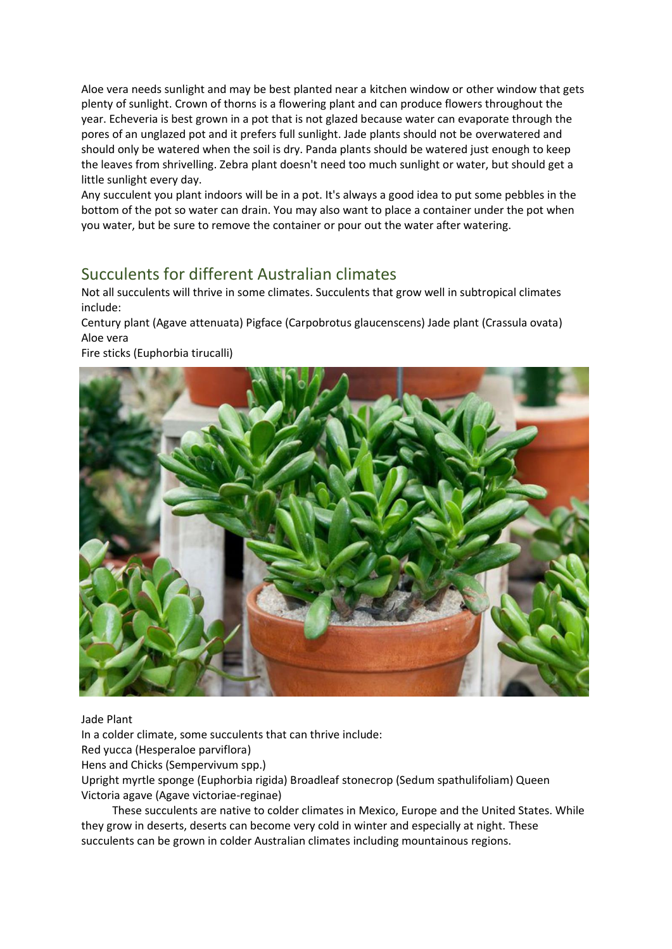Aloe vera needs sunlight and may be best planted near a kitchen window or other window that gets plenty of sunlight. Crown of thorns is a flowering plant and can produce flowers throughout the year. Echeveria is best grown in a pot that is not glazed because water can evaporate through the pores of an unglazed pot and it prefers full sunlight. Jade plants should not be overwatered and should only be watered when the soil is dry. Panda plants should be watered just enough to keep the leaves from shrivelling. Zebra plant doesn't need too much sunlight or water, but should get a little sunlight every day.

Any succulent you plant indoors will be in a pot. It's always a good idea to put some pebbles in the bottom of the pot so water can drain. You may also want to place a container under the pot when you water, but be sure to remove the container or pour out the water after watering.

## Succulents for different Australian climates

Not all succulents will thrive in some climates. Succulents that grow well in subtropical climates include:

Century plant (Agave attenuata) Pigface (Carpobrotus glaucenscens) Jade plant (Crassula ovata) Aloe vera

Fire sticks (Euphorbia tirucalli)



### Jade Plant

In a colder climate, some succulents that can thrive include:

Red yucca (Hesperaloe parviflora)

Hens and Chicks (Sempervivum spp.)

Upright myrtle sponge (Euphorbia rigida) Broadleaf stonecrop (Sedum spathulifoliam) Queen Victoria agave (Agave victoriae-reginae)

 These succulents are native to colder climates in Mexico, Europe and the United States. While they grow in deserts, deserts can become very cold in winter and especially at night. These succulents can be grown in colder Australian climates including mountainous regions.